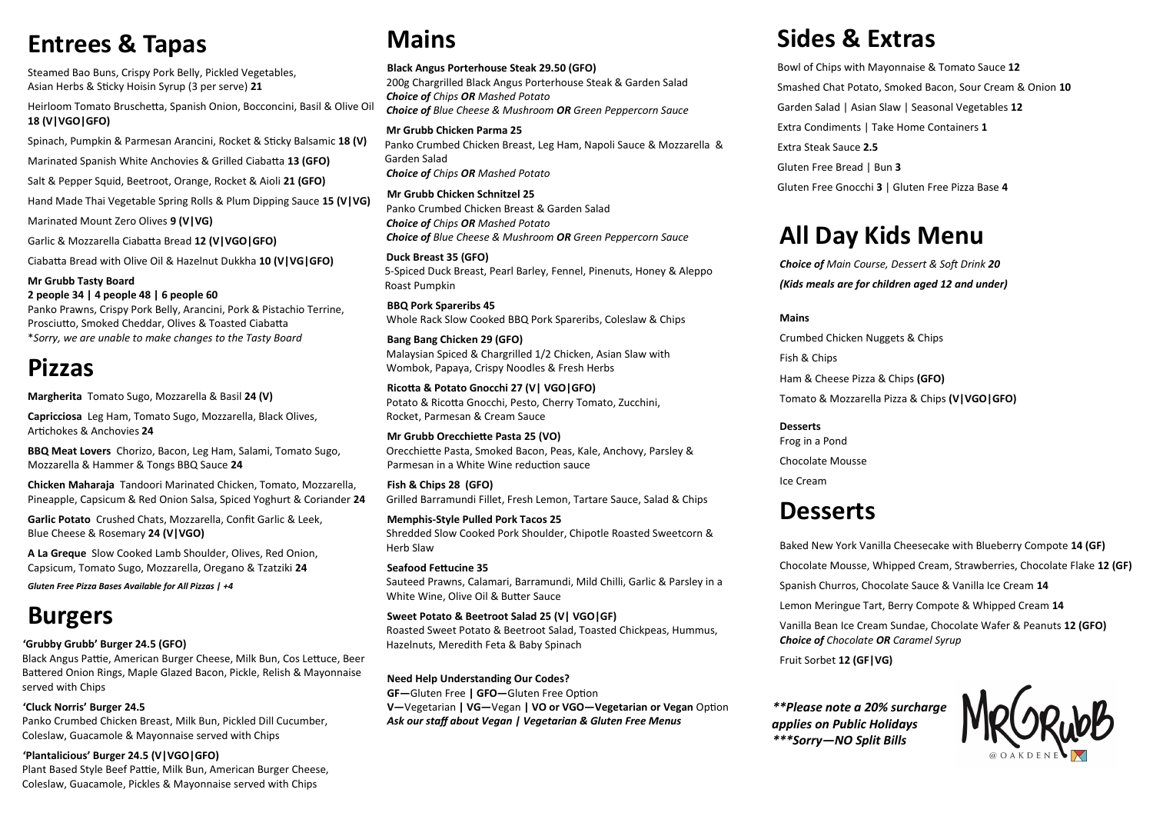# **Mains**

#### **Black Angus Porterhouse Steak 29.50 (GFO)**

200g Chargrilled Black Angus Porterhouse Steak & Garden Salad *Choice of Chips OR Mashed Potato Choice of Blue Cheese & Mushroom OR Green Peppercorn Sauce*

**Mr Grubb Chicken Parma 25** Panko Crumbed Chicken Breast, Leg Ham, Napoli Sauce & Mozzarella & Garden Salad *Choice of Chips OR Mashed Potato*

**Mr Grubb Chicken Schnitzel 25** Panko Crumbed Chicken Breast & Garden Salad *Choice of Chips OR Mashed Potato Choice of Blue Cheese & Mushroom OR Green Peppercorn Sauce*

**Duck Breast 35 (GFO)** 5-Spiced Duck Breast, Pearl Barley, Fennel, Pinenuts, Honey & Aleppo Roast Pumpkin

**BBQ Pork Spareribs 45** Whole Rack Slow Cooked BBQ Pork Spareribs, Coleslaw & Chips

**Bang Bang Chicken 29 (GFO)** Malaysian Spiced & Chargrilled 1/2 Chicken, Asian Slaw with Wombok, Papaya, Crispy Noodles & Fresh Herbs

**Ricotta & Potato Gnocchi 27 (V| VGO|GFO)** Potato & Ricotta Gnocchi, Pesto, Cherry Tomato, Zucchini, Rocket, Parmesan & Cream Sauce

**Mr Grubb Orecchiette Pasta 25 (VO)**  Orecchiette Pasta, Smoked Bacon, Peas, Kale, Anchovy, Parsley & Parmesan in a White Wine reduction sauce

**Fish & Chips 28 (GFO)** Grilled Barramundi Fillet, Fresh Lemon, Tartare Sauce, Salad & Chips

**Memphis-Style Pulled Pork Tacos 25** Shredded Slow Cooked Pork Shoulder, Chipotle Roasted Sweetcorn & Herb Slaw

**Seafood Fettucine 35** Sauteed Prawns, Calamari, Barramundi, Mild Chilli, Garlic & Parsley in a White Wine, Olive Oil & Butter Sauce

**Sweet Potato & Beetroot Salad 25 (V| VGO|GF)**  Roasted Sweet Potato & Beetroot Salad, Toasted Chickpeas, Hummus, Hazelnuts, Meredith Feta & Baby Spinach

**Need Help Understanding Our Codes? GF—**Gluten Free **| GFO—**Gluten Free Option **V—**Vegetarian **| VG—**Vegan **| VO or VGO—Vegetarian or Vegan** Option *Ask our staff about Vegan | Vegetarian & Gluten Free Menus*

## **Entrees & Tapas**

Steamed Bao Buns, Crispy Pork Belly, Pickled Vegetables, Asian Herbs & Sticky Hoisin Syrup (3 per serve) **21**

Heirloom Tomato Bruschetta, Spanish Onion, Bocconcini, Basil & Olive Oil **18 (V|VGO|GFO)**

Spinach, Pumpkin & Parmesan Arancini, Rocket & Sticky Balsamic **18 (V)**

Marinated Spanish White Anchovies & Grilled Ciabatta **13 (GFO)**

Salt & Pepper Squid, Beetroot, Orange, Rocket & Aioli **21 (GFO)**

Hand Made Thai Vegetable Spring Rolls & Plum Dipping Sauce **15 (V|VG)**

Marinated Mount Zero Olives **9 (V|VG)**

Garlic & Mozzarella Ciabatta Bread **12 (V|VGO|GFO)**

Ciabatta Bread with Olive Oil & Hazelnut Dukkha **10 (V|VG|GFO)**

**Mr Grubb Tasty Board**

**2 people 34 | 4 people 48 | 6 people 60** Panko Prawns, Crispy Pork Belly, Arancini, Pork & Pistachio Terrine, Prosciutto, Smoked Cheddar, Olives & Toasted Ciabatta \**Sorry, we are unable to make changes to the Tasty Board*

## **Pizzas**

**Margherita** Tomato Sugo, Mozzarella & Basil **24 (V)**

**Capricciosa** Leg Ham, Tomato Sugo, Mozzarella, Black Olives, Artichokes & Anchovies **24**

**BBQ Meat Lovers** Chorizo, Bacon, Leg Ham, Salami, Tomato Sugo, Mozzarella & Hammer & Tongs BBQ Sauce **24**

**Chicken Maharaja** Tandoori Marinated Chicken, Tomato, Mozzarella, Pineapple, Capsicum & Red Onion Salsa, Spiced Yoghurt & Coriander **24**

**Garlic Potato** Crushed Chats, Mozzarella, Confit Garlic & Leek, Blue Cheese & Rosemary **24 (V|VGO)**

**A La Greque** Slow Cooked Lamb Shoulder, Olives, Red Onion, Capsicum, Tomato Sugo, Mozzarella, Oregano & Tzatziki **24**

*Gluten Free Pizza Bases Available for All Pizzas | +4* 

## **Burgers**

**'Grubby Grubb' Burger 24.5 (GFO)**

Black Angus Pattie, American Burger Cheese, Milk Bun, Cos Lettuce, Beer Battered Onion Rings, Maple Glazed Bacon, Pickle, Relish & Mayonnaise served with Chips

**'Cluck Norris' Burger 24.5** Panko Crumbed Chicken Breast, Milk Bun, Pickled Dill Cucumber, Coleslaw, Guacamole & Mayonnaise served with Chips

**'Plantalicious' Burger 24.5 (V|VGO|GFO)**

Plant Based Style Beef Pattie, Milk Bun, American Burger Cheese, Coleslaw, Guacamole, Pickles & Mayonnaise served with Chips

# **Sides & Extras**

Bowl of Chips with Mayonnaise & Tomato Sauce **12** Smashed Chat Potato, Smoked Bacon, Sour Cream & Onion **10** Garden Salad | Asian Slaw | Seasonal Vegetables **12** Extra Condiments | Take Home Containers **1** Extra Steak Sauce **2.5** Gluten Free Bread | Bun **3** Gluten Free Gnocchi **3** | Gluten Free Pizza Base **4**

# **All Day Kids Menu**

*Choice of Main Course, Dessert & Soft Drink 20 (Kids meals are for children aged 12 and under)*

**Mains**

Crumbed Chicken Nuggets & Chips Fish & Chips Ham & Cheese Pizza & Chips **(GFO)**

Tomato & Mozzarella Pizza & Chips **(V|VGO|GFO)**



#### **Desserts** Frog in a Pond Chocolate Mousse Ice Cream

## **Desserts**

Baked New York Vanilla Cheesecake with Blueberry Compote **14 (GF)** Chocolate Mousse, Whipped Cream, Strawberries, Chocolate Flake **12 (GF)** Spanish Churros, Chocolate Sauce & Vanilla Ice Cream **14** Lemon Meringue Tart, Berry Compote & Whipped Cream **14** Vanilla Bean Ice Cream Sundae, Chocolate Wafer & Peanuts **12 (GFO)** *Choice of Chocolate OR Caramel Syrup* Fruit Sorbet **12 (GF|VG)**

*\*\*Please note a 20% surcharge applies on Public Holidays \*\*\*Sorry—NO Split Bills*